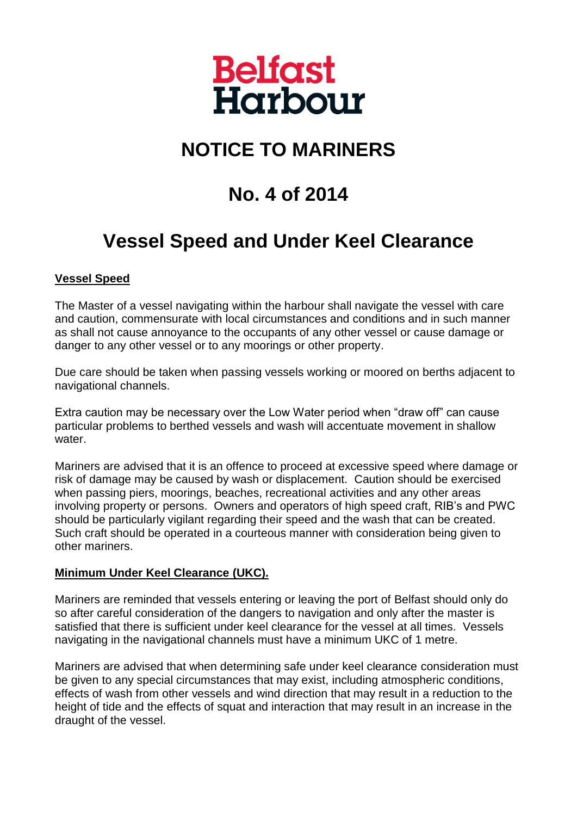

# **NOTICE TO MARINERS**

## **No. 4 of 2014**

### **Vessel Speed and Under Keel Clearance**

#### **Vessel Speed**

The Master of a vessel navigating within the harbour shall navigate the vessel with care and caution, commensurate with local circumstances and conditions and in such manner as shall not cause annoyance to the occupants of any other vessel or cause damage or danger to any other vessel or to any moorings or other property.

Due care should be taken when passing vessels working or moored on berths adjacent to navigational channels.

Extra caution may be necessary over the Low Water period when "draw off" can cause particular problems to berthed vessels and wash will accentuate movement in shallow water.

Mariners are advised that it is an offence to proceed at excessive speed where damage or risk of damage may be caused by wash or displacement. Caution should be exercised when passing piers, moorings, beaches, recreational activities and any other areas involving property or persons. Owners and operators of high speed craft, RIB's and PWC should be particularly vigilant regarding their speed and the wash that can be created. Such craft should be operated in a courteous manner with consideration being given to other mariners.

#### **Minimum Under Keel Clearance (UKC).**

Mariners are reminded that vessels entering or leaving the port of Belfast should only do so after careful consideration of the dangers to navigation and only after the master is satisfied that there is sufficient under keel clearance for the vessel at all times. Vessels navigating in the navigational channels must have a minimum UKC of 1 metre.

Mariners are advised that when determining safe under keel clearance consideration must be given to any special circumstances that may exist, including atmospheric conditions, effects of wash from other vessels and wind direction that may result in a reduction to the height of tide and the effects of squat and interaction that may result in an increase in the draught of the vessel.